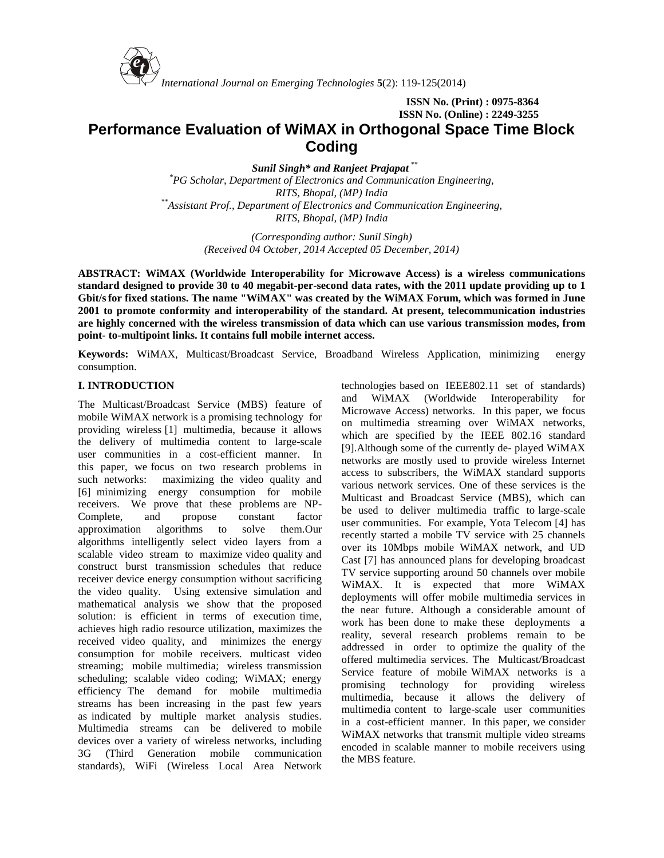

*International Journal on Emerging Technologies* **5**(2): 119-125(2014)

**ISSN No. (Print) : 0975-8364 ISSN No. (Online) : 2249-3255**

# **Performance Evaluation of WiMAX in Orthogonal Space Time Block Coding**

*Sunil Singh\* and Ranjeet Prajapat \*\* \*PG Scholar, Department of Electronics and Communication Engineering, RITS, Bhopal, (MP) India \*\*Assistant Prof., Department of Electronics and Communication Engineering, RITS, Bhopal, (MP) India*

> *(Corresponding author: Sunil Singh) (Received 04 October, 2014 Accepted 05 December, 2014)*

**ABSTRACT: WiMAX (Worldwide Interoperability for Microwave Access) is a wireless communications standard designed to provide 30 to 40 megabit-per-second data rates, with the 2011 update providing up to 1 Gbit/sfor fixed stations. The name "WiMAX" was created by the WiMAX Forum, which was formed in June 2001 to promote conformity and interoperability of the standard. At present, telecommunication industries are highly concerned with the wireless transmission of data which can use various transmission modes, from point- to-multipoint links. It contains full mobile internet access.**

**Keywords:** WiMAX, Multicast/Broadcast Service, Broadband Wireless Application, minimizing energy consumption.

# **I. INTRODUCTION**

The Multicast/Broadcast Service (MBS) feature of mobile WiMAX network is a promising technology for providing wireless [1] multimedia, because it allows the delivery of multimedia content to large-scale user communities in a cost-efficient manner. In this paper, we focus on two research problems in such networks: maximizing the video quality and [6] minimizing energy consumption for mobile receivers. We prove that these problems are NP- Complete, and propose constant factor approximation algorithms to solve them.Our algorithms intelligently select video layers from a scalable video stream to maximize video quality and construct burst transmission schedules that reduce receiver device energy consumption without sacrificing the video quality. Using extensive simulation and mathematical analysis we show that the proposed solution: is efficient in terms of execution time, achieves high radio resource utilization, maximizes the received video quality, and minimizes the energy consumption for mobile receivers. multicast video streaming; mobile multimedia; wireless transmission scheduling; scalable video coding; WiMAX; energy efficiency The demand for mobile multimedia streams has been increasing in the past few years as indicated by multiple market analysis studies. Multimedia streams can be delivered to mobile devices over a variety of wireless networks, including 3G (Third Generation mobile communication standards), WiFi (Wireless Local Area Network

technologies based on IEEE802.11 set of standards) and WiMAX (Worldwide Interoperability for Microwave Access) networks. In this paper, we focus on multimedia streaming over WiMAX networks, which are specified by the IEEE 802.16 standard [9].Although some of the currently de- played WiMAX networks are mostly used to provide wireless Internet access to subscribers, the WiMAX standard supports various network services. One of these services is the Multicast and Broadcast Service (MBS), which can be used to deliver multimedia traffic to large-scale user communities. For example, Yota Telecom [4] has recently started a mobile TV service with 25 channels over its 10Mbps mobile WiMAX network, and UD Cast [7] has announced plans for developing broadcast TV service supporting around 50 channels over mobile WiMAX. It is expected that more WiMAX deployments will offer mobile multimedia services in the near future. Although a considerable amount of work has been done to make these deployments a reality, several research problems remain to be addressed in order to optimize the quality of the offered multimedia services. The Multicast/Broadcast Service feature of mobile WiMAX networks is a promising technology for providing wireless multimedia, because it allows the delivery of multimedia content to large-scale user communities in a cost-efficient manner. In this paper, we consider WiMAX networks that transmit multiple video streams encoded in scalable manner to mobile receivers using the MBS feature.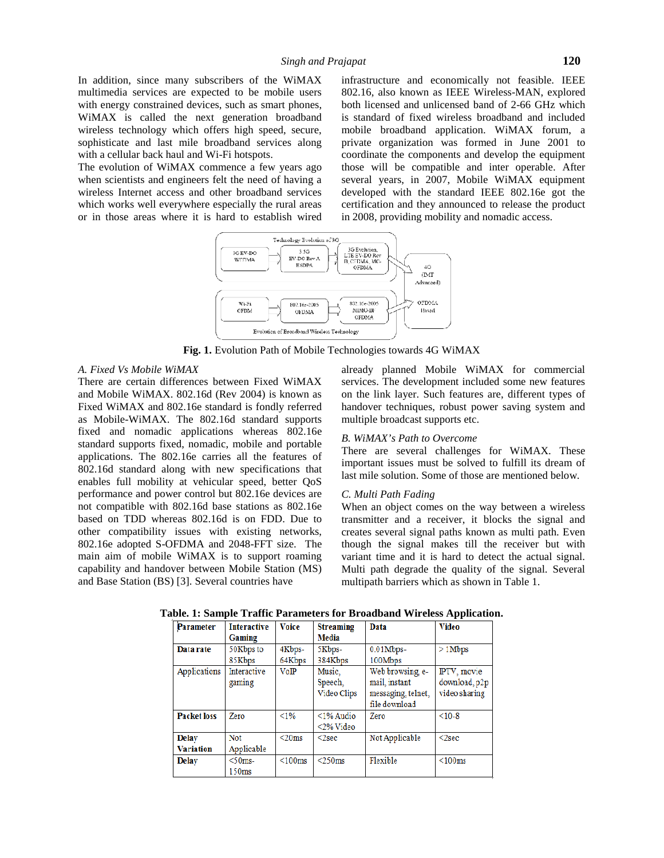In addition, since many subscribers of the WiMAX multimedia services are expected to be mobile users with energy constrained devices, such as smart phones, WiMAX is called the next generation broadband wireless technology which offers high speed, secure, sophisticate and last mile broadband services along with a cellular back haul and Wi-Fi hotspots.

The evolution of WiMAX commence a few years ago when scientists and engineers felt the need of having a wireless Internet access and other broadband services which works well everywhere especially the rural areas or in those areas where it is hard to establish wired infrastructure and economically not feasible. IEEE 802.16, also known as IEEE Wireless-MAN, explored both licensed and unlicensed band of 2-66 GHz which is standard of fixed wireless broadband and included mobile broadband application. WiMAX forum, a private organization was formed in June 2001 to coordinate the components and develop the equipment those will be compatible and inter operable. After several years, in 2007, Mobile WiMAX equipment developed with the standard IEEE 802.16e got the certification and they announced to release the product in 2008, providing mobility and nomadic access.



**Fig. 1.** Evolution Path of Mobile Technologies towards 4G WiMAX

#### *A. Fixed Vs Mobile WiMAX*

There are certain differences between Fixed WiMAX and Mobile WiMAX. 802.16d (Rev 2004) is known as Fixed WiMAX and 802.16e standard is fondly referred as Mobile-WiMAX. The 802.16d standard supports fixed and nomadic applications whereas 802.16e standard supports fixed, nomadic, mobile and portable applications. The 802.16e carries all the features of 802.16d standard along with new specifications that enables full mobility at vehicular speed, better QoS performance and power control but 802.16e devices are not compatible with 802.16d base stations as 802.16e based on TDD whereas 802.16d is on FDD. Due to other compatibility issues with existing networks, 802.16e adopted S-OFDMA and 2048-FFT size. The main aim of mobile WiMAX is to support roaming capability and handover between Mobile Station (MS) and Base Station (BS) [3]. Several countries have

already planned Mobile WiMAX for commercial services. The development included some new features on the link layer. Such features are, different types of handover techniques, robust power saving system and multiple broadcast supports etc.

### *B. WiMAX's Path to Overcome*

There are several challenges for WiMAX. These important issues must be solved to fulfill its dream of last mile solution. Some of those are mentioned below.

#### *C. Multi Path Fading*

When an object comes on the way between a wireless transmitter and a receiver, it blocks the signal and creates several signal paths known as multi path. Even though the signal makes till the receiver but with variant time and it is hard to detect the actual signal. Multi path degrade the quality of the signal. Several multipath barriers which as shown in Table 1.

| Parameter          | <b>Interactive</b> | <b>Voice</b> | <b>Streaming</b>    | Data              | <b>Video</b>  |
|--------------------|--------------------|--------------|---------------------|-------------------|---------------|
|                    | Gaming             |              | Media               |                   |               |
| Data rate          | 50Kbps to          | 4Kbps-       | 5Kbps-              | $0.01Mbps-$       | $>1$ Mbps     |
|                    | 85Kbps             | 64Kbps       | 384Kbps             | 100Mbps           |               |
| Applications       | Interactive        | VoIP         | Music.              | Web browsing, e-  | IPTV, movie   |
|                    | gaming             |              | Speech,             | mail, instant     | download, p2p |
|                    |                    |              | Video Clips         | messaging telnet, | video sharing |
|                    |                    |              |                     | file download     |               |
| <b>Packet loss</b> | Zero               | $< 1\%$      | $\leq$ 1% Audio     | Zero              | $<10-8$       |
|                    |                    |              | $<$ 2% Video        |                   |               |
| <b>Delay</b>       | <b>Not</b>         | $<$ 20 $ms$  | $2sec$              | Not Applicable    | $<$ 2sec      |
| <b>Variation</b>   | Applicable         |              |                     |                   |               |
| <b>Delay</b>       | $<$ 50 $ms$        | $<$ 100 $ms$ | $<$ 250 $\text{ms}$ | Flexible          | <100ms        |
|                    | 150ms              |              |                     |                   |               |

**Table. 1: Sample Traffic Parameters for Broadband Wireless Application.**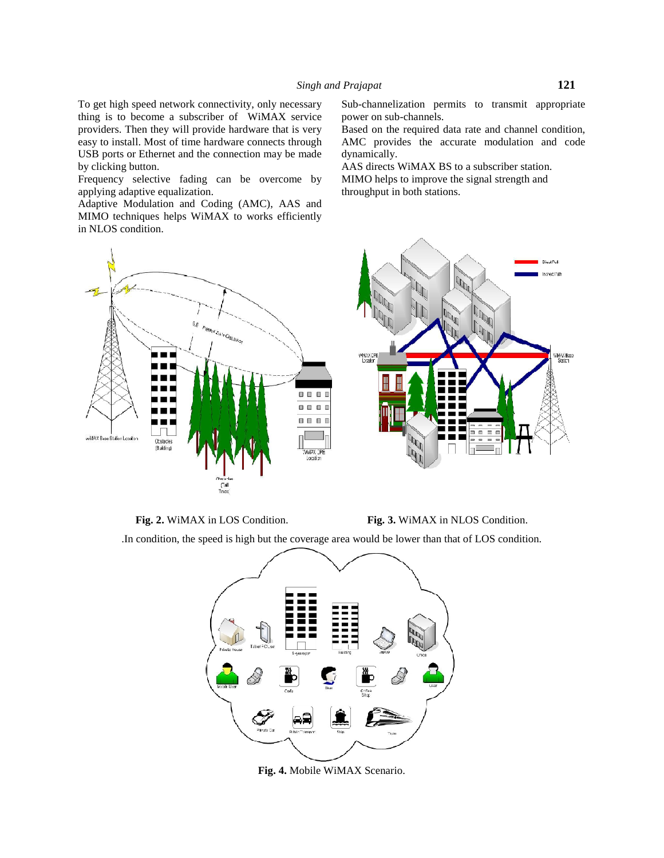To get high speed network connectivity, only necessary thing is to become a subscriber of WiMAX service providers. Then they will provide hardware that is very easy to install. Most of time hardware connects through USB ports or Ethernet and the connection may be made by clicking button.

Frequency selective fading can be overcome by applying adaptive equalization.

Adaptive Modulation and Coding (AMC), AAS and MIMO techniques helps WiMAX to works efficiently in NLOS condition.



Sub-channelization permits to transmit appropriate power on sub-channels.

Based on the required data rate and channel condition, AMC provides the accurate modulation and code dynamically.

AAS directs WiMAX BS to a subscriber station. MIMO helps to improve the signal strength and throughput in both stations.





.In condition, the speed is high but the coverage area would be lower than that of LOS condition.



**Fig. 4.** Mobile WiMAX Scenario.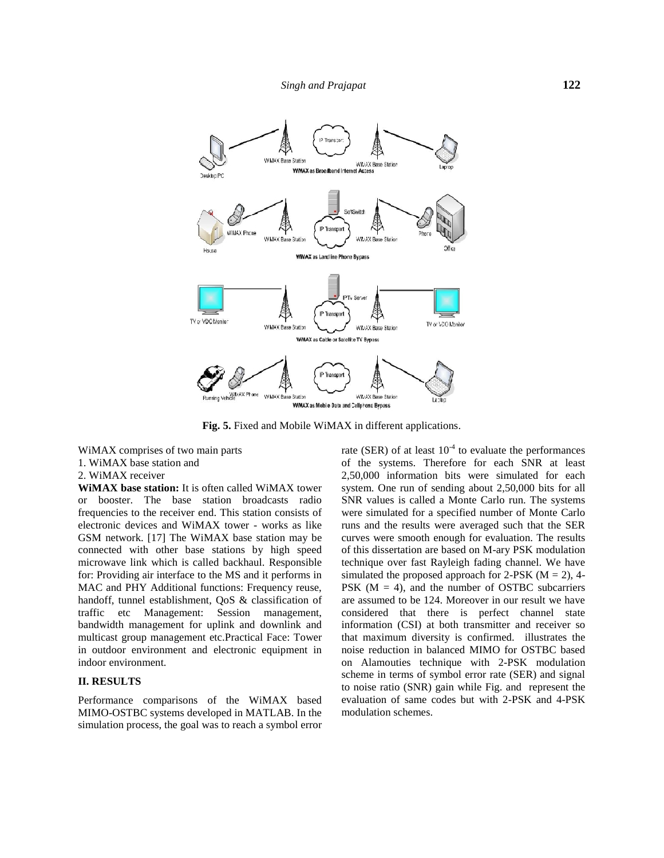

**Fig. 5.** Fixed and Mobile WiMAX in different applications.

WiMAX comprises of two main parts 1. WiMAX base station and

#### 2. WiMAX receiver

**WiMAX base station:** It is often called WiMAX tower or booster. The base station broadcasts radio frequencies to the receiver end. This station consists of electronic devices and WiMAX tower - works as like GSM network. [17] The WiMAX base station may be connected with other base stations by high speed microwave link which is called backhaul. Responsible for: Providing air interface to the MS and it performs in MAC and PHY Additional functions: Frequency reuse, handoff, tunnel establishment, QoS & classification of traffic etc Management: Session management, bandwidth management for uplink and downlink and multicast group management etc.Practical Face: Tower in outdoor environment and electronic equipment in indoor environment.

# **II. RESULTS**

Performance comparisons of the WiMAX based MIMO-OSTBC systems developed in MATLAB. In the simulation process, the goal was to reach a symbol error

rate (SER) of at least  $10^{-4}$  to evaluate the performances of the systems. Therefore for each SNR at least 2,50,000 information bits were simulated for each system. One run of sending about 2,50,000 bits for all SNR values is called a Monte Carlo run. The systems were simulated for a specified number of Monte Carlo runs and the results were averaged such that the SER curves were smooth enough for evaluation. The results of this dissertation are based on M-ary PSK modulation technique over fast Rayleigh fading channel. We have simulated the proposed approach for 2-PSK ( $M = 2$ ), 4-PSK  $(M = 4)$ , and the number of OSTBC subcarriers are assumed to be 124. Moreover in our result we have considered that there is perfect channel state information (CSI) at both transmitter and receiver so that maximum diversity is confirmed. illustrates the noise reduction in balanced MIMO for OSTBC based on Alamouties technique with 2-PSK modulation scheme in terms of symbol error rate (SER) and signal to noise ratio (SNR) gain while Fig. and represent the evaluation of same codes but with 2-PSK and 4-PSK modulation schemes.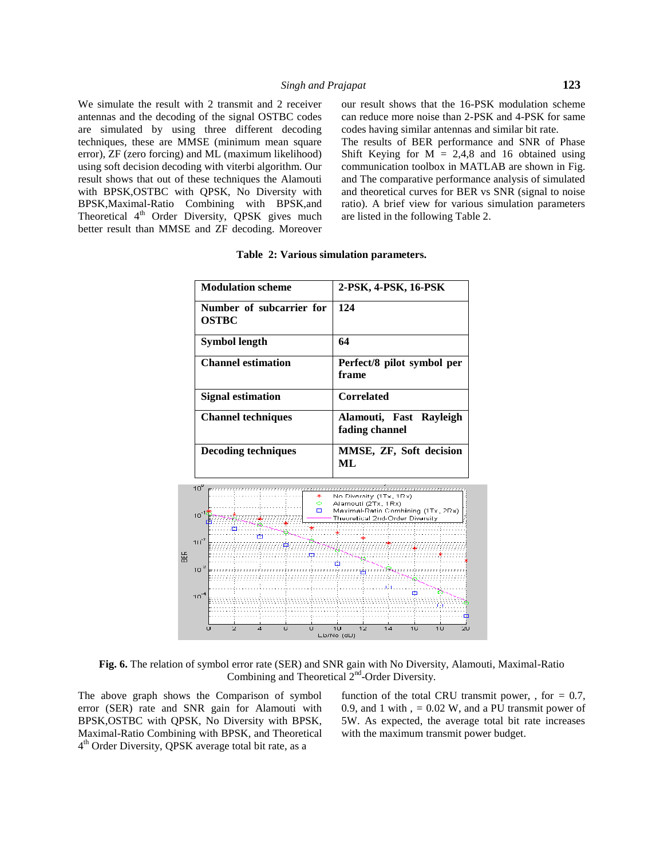We simulate the result with 2 transmit and 2 receiver antennas and the decoding of the signal OSTBC codes are simulated by using three different decoding techniques, these are MMSE (minimum mean square error), ZF (zero forcing) and ML (maximum likelihood) using soft decision decoding with viterbi algorithm. Our result shows that out of these techniques the Alamouti with BPSK,OSTBC with QPSK, No Diversity with BPSK,Maximal-Ratio Combining with BPSK,and Theoretical 4<sup>th</sup> Order Diversity, QPSK gives much better result than MMSE and ZF decoding. Moreover our result shows that the 16-PSK modulation scheme can reduce more noise than 2-PSK and 4-PSK for same codes having similar antennas and similar bit rate.

The results of BER performance and SNR of Phase Shift Keying for  $M = 2,4,8$  and 16 obtained using communication toolbox in MATLAB are shown in Fig. and The comparative performance analysis of simulated and theoretical curves for BER vs SNR (signal to noise ratio). A brief view for various simulation parameters are listed in the following Table 2.

| <b>Modulation scheme</b>                                    | 2-PSK, 4-PSK, 16-PSK<br>124                                                                                             |  |  |
|-------------------------------------------------------------|-------------------------------------------------------------------------------------------------------------------------|--|--|
| Number of subcarrier for<br><b>OSTBC</b>                    |                                                                                                                         |  |  |
| <b>Symbol length</b>                                        | 64                                                                                                                      |  |  |
| <b>Channel estimation</b>                                   | Perfect/8 pilot symbol per<br>frame                                                                                     |  |  |
| <b>Signal estimation</b>                                    | <b>Correlated</b><br>Alamouti, Fast Rayleigh<br>fading channel                                                          |  |  |
| <b>Channel techniques</b>                                   |                                                                                                                         |  |  |
| <b>Decoding techniques</b>                                  | MMSE, ZF, Soft decision<br>ML                                                                                           |  |  |
| $10^{\circ}$ error<br>↞<br>$\circ$ .<br>$\Box$<br>$10^{-1}$ | No Diversity (1Tx, 1Rx)<br>Alamouti (2Tx, 1Rx)<br>Maximal-Ratin Combining (1Tx, 2Rx)<br>Theoretical 2nd-Order Diversity |  |  |
| $111^2$                                                     |                                                                                                                         |  |  |
| 10 <sup>3</sup>                                             | markan di matematika di kacamatan dan bagaya dan bagaya dan bagaya da da bagaya da da bagaya da da bagaya da b          |  |  |
| $10^{-4}$                                                   | ¢.<br>,,,,,,,,,,,,,,,,,,,,,,,,,,,,,,,,,,                                                                                |  |  |

**Table 2: Various simulation parameters.**

**Fig. 6.** The relation of symbol error rate (SER) and SNR gain with No Diversity, Alamouti, Maximal-Ratio Combining and Theoretical 2<sup>nd</sup>-Order Diversity.

The above graph shows the Comparison of symbol error (SER) rate and SNR gain for Alamouti with BPSK,OSTBC with QPSK, No Diversity with BPSK, Maximal-Ratio Combining with BPSK, and Theoretical 4 th Order Diversity, QPSK average total bit rate, as a

function of the total CRU transmit power, , for *=* 0*.*7, 0*.*9, and 1 with , *=* 0*.*02 W, and a PU transmit power of 5W. As expected, the average total bit rate increases with the maximum transmit power budget.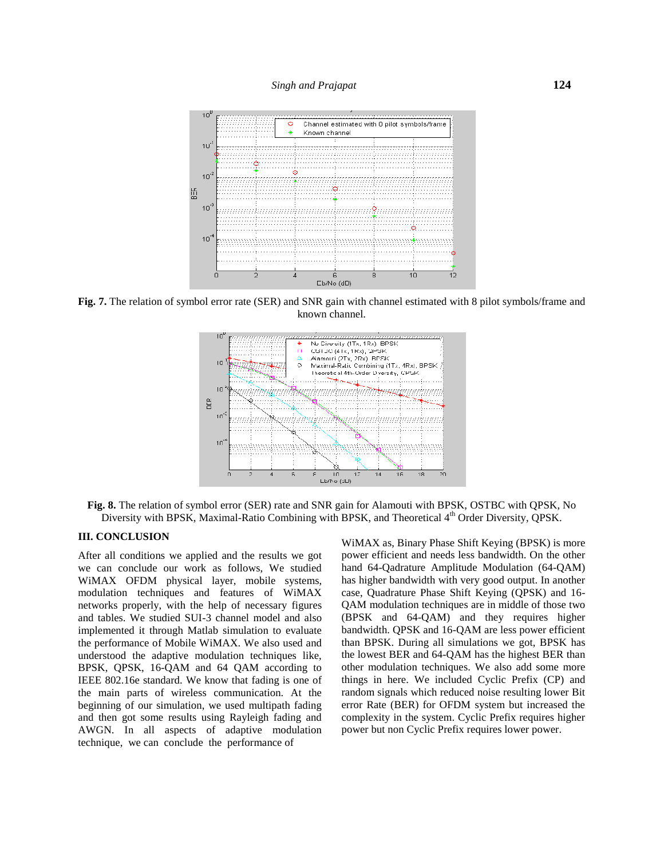

**Fig. 7.** The relation of symbol error rate (SER) and SNR gain with channel estimated with 8 pilot symbols/frame and known channel.



**Fig. 8.** The relation of symbol error (SER) rate and SNR gain for Alamouti with BPSK, OSTBC with QPSK, No Diversity with BPSK, Maximal-Ratio Combining with BPSK, and Theoretical 4<sup>th</sup> Order Diversity, QPSK.

# **III. CONCLUSION**

After all conditions we applied and the results we got we can conclude our work as follows, We studied WiMAX OFDM physical layer, mobile systems, modulation techniques and features of WiMAX networks properly, with the help of necessary figures and tables. We studied SUI-3 channel model and also implemented it through Matlab simulation to evaluate the performance of Mobile WiMAX. We also used and understood the adaptive modulation techniques like, BPSK, QPSK, 16-QAM and 64 QAM according to IEEE 802.16e standard. We know that fading is one of the main parts of wireless communication. At the beginning of our simulation, we used multipath fading and then got some results using Rayleigh fading and AWGN. In all aspects of adaptive modulation technique, we can conclude the performance of

WiMAX as, Binary Phase Shift Keying (BPSK) is more power efficient and needs less bandwidth. On the other hand 64-Qadrature Amplitude Modulation (64-QAM) has higher bandwidth with very good output. In another case, Quadrature Phase Shift Keying (QPSK) and 16- QAM modulation techniques are in middle of those two (BPSK and 64-QAM) and they requires higher bandwidth. QPSK and 16-QAM are less power efficient than BPSK. During all simulations we got, BPSK has the lowest BER and 64-QAM has the highest BER than other modulation techniques. We also add some more things in here. We included Cyclic Prefix (CP) and random signals which reduced noise resulting lower Bit error Rate (BER) for OFDM system but increased the complexity in the system. Cyclic Prefix requires higher power but non Cyclic Prefix requires lower power.